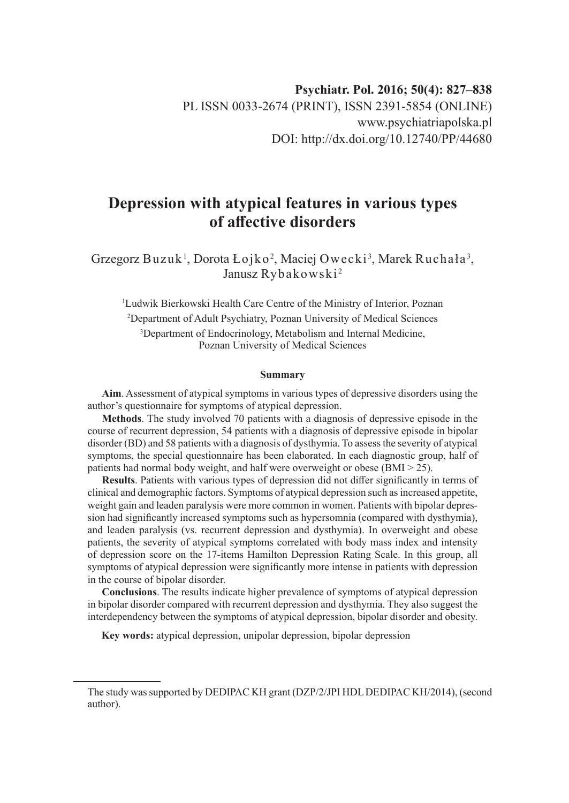# **Depression with atypical features in various types of affective disorders**

Grzegorz Buzuk $^{\rm l}$ , Dorota Łojko $^{\rm 2}$ , Maciej Owecki $^{\rm 3}$ , Marek Ruchała $^{\rm 3}$ , Janusz Rybakowski<sup>2</sup>

 Ludwik Bierkowski Health Care Centre of the Ministry of Interior, Poznan Department of Adult Psychiatry, Poznan University of Medical Sciences Department of Endocrinology, Metabolism and Internal Medicine, Poznan University of Medical Sciences

#### **Summary**

**Aim**. Assessment of atypical symptoms in various types of depressive disorders using the author's questionnaire for symptoms of atypical depression.

**Methods**. The study involved 70 patients with a diagnosis of depressive episode in the course of recurrent depression, 54 patients with a diagnosis of depressive episode in bipolar disorder (BD) and 58 patients with a diagnosis of dysthymia. To assess the severity of atypical symptoms, the special questionnaire has been elaborated. In each diagnostic group, half of patients had normal body weight, and half were overweight or obese (BMI > 25).

**Results**. Patients with various types of depression did not differ significantly in terms of clinical and demographic factors. Symptoms of atypical depression such as increased appetite, weight gain and leaden paralysis were more common in women. Patients with bipolar depression had significantly increased symptoms such as hypersomnia (compared with dysthymia), and leaden paralysis (vs. recurrent depression and dysthymia). In overweight and obese patients, the severity of atypical symptoms correlated with body mass index and intensity of depression score on the 17-items Hamilton Depression Rating Scale. In this group, all symptoms of atypical depression were significantly more intense in patients with depression in the course of bipolar disorder.

**Conclusions**. The results indicate higher prevalence of symptoms of atypical depression in bipolar disorder compared with recurrent depression and dysthymia. They also suggest the interdependency between the symptoms of atypical depression, bipolar disorder and obesity.

**Key words:** atypical depression, unipolar depression, bipolar depression

The study was supported by DEDIPAC KH grant (DZP/2/JPI HDL DEDIPAC KH/2014), (second author).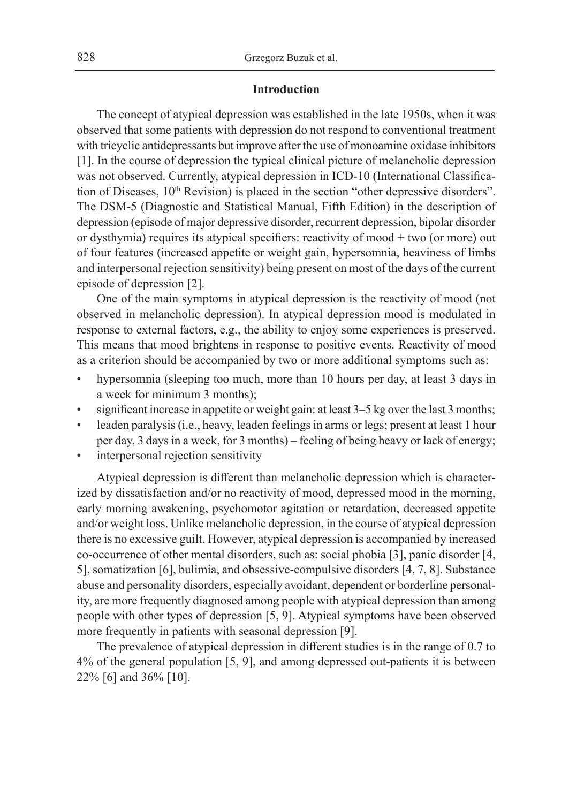### **Introduction**

The concept of atypical depression was established in the late 1950s, when it was observed that some patients with depression do not respond to conventional treatment with tricyclic antidepressants but improve after the use of monoamine oxidase inhibitors [1]. In the course of depression the typical clinical picture of melancholic depression was not observed. Currently, atypical depression in ICD-10 (International Classification of Diseases, 10<sup>th</sup> Revision) is placed in the section "other depressive disorders". The DSM-5 (Diagnostic and Statistical Manual, Fifth Edition) in the description of depression (episode of major depressive disorder, recurrent depression, bipolar disorder or dysthymia) requires its atypical specifiers: reactivity of mood + two (or more) out of four features (increased appetite or weight gain, hypersomnia, heaviness of limbs and interpersonal rejection sensitivity) being present on most of the days of the current episode of depression [2].

One of the main symptoms in atypical depression is the reactivity of mood (not observed in melancholic depression). In atypical depression mood is modulated in response to external factors, e.g., the ability to enjoy some experiences is preserved. This means that mood brightens in response to positive events. Reactivity of mood as a criterion should be accompanied by two or more additional symptoms such as:

- hypersomnia (sleeping too much, more than 10 hours per day, at least 3 days in a week for minimum 3 months);
- significant increase in appetite or weight gain: at least 3–5 kg over the last 3 months;
- leaden paralysis (i.e., heavy, leaden feelings in arms or legs; present at least 1 hour per day, 3 days in a week, for 3 months) – feeling of being heavy or lack of energy;
- interpersonal rejection sensitivity

Atypical depression is different than melancholic depression which is characterized by dissatisfaction and/or no reactivity of mood, depressed mood in the morning, early morning awakening, psychomotor agitation or retardation, decreased appetite and/or weight loss. Unlike melancholic depression, in the course of atypical depression there is no excessive guilt. However, atypical depression is accompanied by increased co-occurrence of other mental disorders, such as: social phobia [3], panic disorder [4, 5], somatization [6], bulimia, and obsessive-compulsive disorders [4, 7, 8]. Substance abuse and personality disorders, especially avoidant, dependent or borderline personality, are more frequently diagnosed among people with atypical depression than among people with other types of depression [5, 9]. Atypical symptoms have been observed more frequently in patients with seasonal depression [9].

The prevalence of atypical depression in different studies is in the range of 0.7 to 4% of the general population [5, 9], and among depressed out-patients it is between 22% [6] and 36% [10].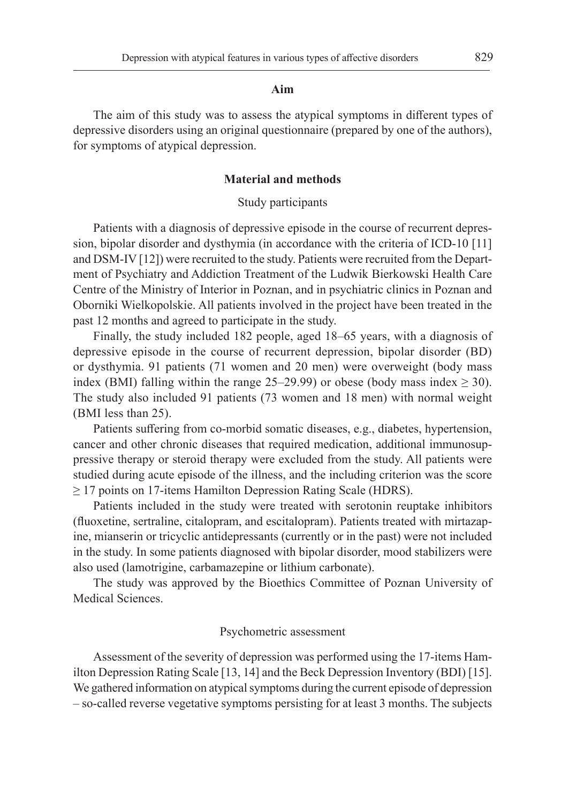#### **Aim**

The aim of this study was to assess the atypical symptoms in different types of depressive disorders using an original questionnaire (prepared by one of the authors), for symptoms of atypical depression.

### **Material and methods**

#### Study participants

Patients with a diagnosis of depressive episode in the course of recurrent depression, bipolar disorder and dysthymia (in accordance with the criteria of ICD-10 [11] and DSM-IV [12]) were recruited to the study. Patients were recruited from the Department of Psychiatry and Addiction Treatment of the Ludwik Bierkowski Health Care Centre of the Ministry of Interior in Poznan, and in psychiatric clinics in Poznan and Oborniki Wielkopolskie. All patients involved in the project have been treated in the past 12 months and agreed to participate in the study.

Finally, the study included 182 people, aged 18–65 years, with a diagnosis of depressive episode in the course of recurrent depression, bipolar disorder (BD) or dysthymia. 91 patients (71 women and 20 men) were overweight (body mass index (BMI) falling within the range 25–29.99) or obese (body mass index  $\geq$  30). The study also included 91 patients (73 women and 18 men) with normal weight (BMI less than 25).

Patients suffering from co-morbid somatic diseases, e.g., diabetes, hypertension, cancer and other chronic diseases that required medication, additional immunosuppressive therapy or steroid therapy were excluded from the study. All patients were studied during acute episode of the illness, and the including criterion was the score ≥ 17 points on 17-items Hamilton Depression Rating Scale (HDRS).

Patients included in the study were treated with serotonin reuptake inhibitors (fluoxetine, sertraline, citalopram, and escitalopram). Patients treated with mirtazapine, mianserin or tricyclic antidepressants (currently or in the past) were not included in the study. In some patients diagnosed with bipolar disorder, mood stabilizers were also used (lamotrigine, carbamazepine or lithium carbonate).

The study was approved by the Bioethics Committee of Poznan University of Medical Sciences.

#### Psychometric assessment

Assessment of the severity of depression was performed using the 17-items Hamilton Depression Rating Scale [13, 14] and the Beck Depression Inventory (BDI) [15]. We gathered information on atypical symptoms during the current episode of depression – so-called reverse vegetative symptoms persisting for at least 3 months. The subjects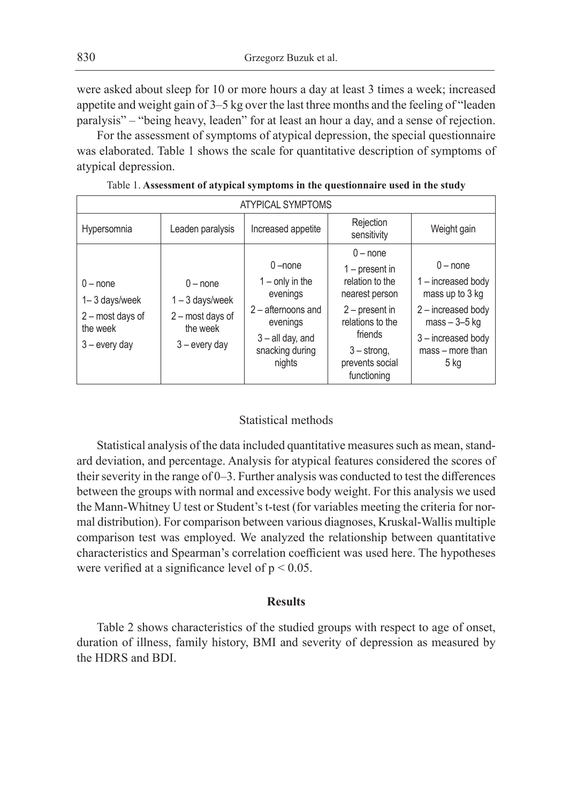were asked about sleep for 10 or more hours a day at least 3 times a week; increased appetite and weight gain of 3–5 kg over the last three months and the feeling of "leaden paralysis" – "being heavy, leaden" for at least an hour a day, and a sense of rejection.

For the assessment of symptoms of atypical depression, the special questionnaire was elaborated. Table 1 shows the scale for quantitative description of symptoms of atypical depression.

| <b>ATYPICAL SYMPTOMS</b>                                                       |                                                                                    |                                                                                                                         |                                                                                                                                         |                                                                                                                                          |  |  |
|--------------------------------------------------------------------------------|------------------------------------------------------------------------------------|-------------------------------------------------------------------------------------------------------------------------|-----------------------------------------------------------------------------------------------------------------------------------------|------------------------------------------------------------------------------------------------------------------------------------------|--|--|
| Hypersomnia                                                                    | Leaden paralysis                                                                   | Increased appetite                                                                                                      | Rejection<br>sensitivity                                                                                                                | Weight gain                                                                                                                              |  |  |
| $0$ – none<br>1-3 days/week<br>2 - most days of<br>the week<br>$3$ – every day | $0$ – none<br>$1 - 3$ days/week<br>2 - most days of<br>the week<br>$3$ – every day | $0$ –none<br>$1 -$ only in the<br>evenings<br>$2 -$ afternoons and<br>evenings<br>$3 -$ all day, and<br>snacking during | $0$ – none<br>$1$ – present in<br>relation to the<br>nearest person<br>$2$ – present in<br>relations to the<br>friends<br>$3 -$ strong. | $0$ – none<br>1 - increased body<br>mass up to 3 kg<br>2 - increased body<br>$mass - 3 - 5$ kg<br>3-increased body<br>$mass - more than$ |  |  |
|                                                                                |                                                                                    | nights                                                                                                                  | prevents social<br>functioning                                                                                                          | 5 kg                                                                                                                                     |  |  |

Table 1. **Assessment of atypical symptoms in the questionnaire used in the study**

## Statistical methods

Statistical analysis of the data included quantitative measures such as mean, standard deviation, and percentage. Analysis for atypical features considered the scores of their severity in the range of 0–3. Further analysis was conducted to test the differences between the groups with normal and excessive body weight. For this analysis we used the Mann-Whitney U test or Student's t-test (for variables meeting the criteria for normal distribution). For comparison between various diagnoses, Kruskal-Wallis multiple comparison test was employed. We analyzed the relationship between quantitative characteristics and Spearman's correlation coefficient was used here. The hypotheses were verified at a significance level of  $p < 0.05$ .

# **Results**

Table 2 shows characteristics of the studied groups with respect to age of onset, duration of illness, family history, BMI and severity of depression as measured by the HDRS and BDI.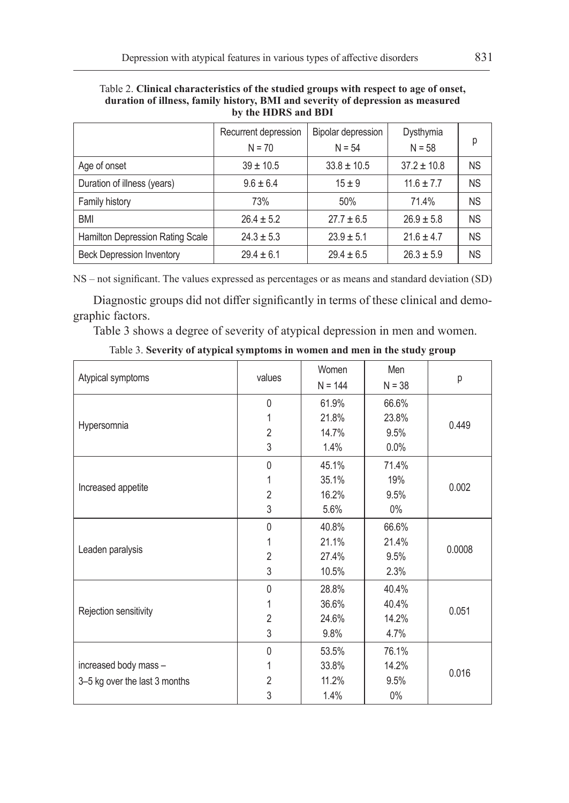|                                  | Recurrent depression<br>$N = 70$ | Bipolar depression<br>$N = 54$ | Dysthymia<br>$N = 58$ | р         |
|----------------------------------|----------------------------------|--------------------------------|-----------------------|-----------|
| Age of onset                     | $39 \pm 10.5$                    | $33.8 \pm 10.5$                | $37.2 \pm 10.8$       | <b>NS</b> |
| Duration of illness (years)      | $9.6 \pm 6.4$                    | $15 + 9$                       | $11.6 \pm 7.7$        | <b>NS</b> |
| Family history                   | 73%                              | 50%                            | 71.4%                 | <b>NS</b> |
| <b>BMI</b>                       | $26.4 \pm 5.2$                   | $27.7 \pm 6.5$                 | $26.9 \pm 5.8$        | <b>NS</b> |
| Hamilton Depression Rating Scale | $24.3 \pm 5.3$                   | $23.9 \pm 5.1$                 | $21.6 \pm 4.7$        | <b>NS</b> |
| <b>Beck Depression Inventory</b> | $29.4 \pm 6.1$                   | $29.4 \pm 6.5$                 | $26.3 \pm 5.9$        | <b>NS</b> |

Table 2. **Clinical characteristics of the studied groups with respect to age of onset, duration of illness, family history, BMI and severity of depression as measured by the HDRS and BDI**

NS – not significant. The values expressed as percentages or as means and standard deviation (SD)

Diagnostic groups did not differ significantly in terms of these clinical and demographic factors.

Table 3 shows a degree of severity of atypical depression in men and women.

| Table 3. Severity of atypical symptoms in women and men in the study group |  |  |  |  |
|----------------------------------------------------------------------------|--|--|--|--|
|----------------------------------------------------------------------------|--|--|--|--|

|                               |                | Women     | Men      |        |  |
|-------------------------------|----------------|-----------|----------|--------|--|
| Atypical symptoms             | values         | $N = 144$ | $N = 38$ | р      |  |
|                               | $\mathbf{0}$   | 61.9%     | 66.6%    |        |  |
| Hypersomnia                   | 1              | 21.8%     | 23.8%    | 0.449  |  |
|                               | $\overline{2}$ | 14.7%     | 9.5%     |        |  |
|                               | 3              | 1.4%      | $0.0\%$  |        |  |
|                               | 0              | 45.1%     | 71.4%    |        |  |
|                               | 1              | 35.1%     | 19%      |        |  |
| Increased appetite            | $\overline{2}$ | 16.2%     | 9.5%     | 0.002  |  |
|                               | 3              | 5.6%      | $0\%$    |        |  |
|                               | $\mathbf{0}$   | 40.8%     | 66.6%    |        |  |
|                               | 1              | 21.1%     | 21.4%    | 0.0008 |  |
| Leaden paralysis              | $\overline{2}$ | 27.4%     | 9.5%     |        |  |
|                               | 3              | 10.5%     | 2.3%     |        |  |
|                               | 0              | 28.8%     | 40.4%    |        |  |
|                               | 1              | 36.6%     | 40.4%    | 0.051  |  |
| Rejection sensitivity         | $\overline{2}$ | 24.6%     | 14.2%    |        |  |
|                               | 3              | 9.8%      | 4.7%     |        |  |
|                               | $\mathbf{0}$   | 53.5%     | 76.1%    |        |  |
| increased body mass -         | 1              | 33.8%     | 14.2%    |        |  |
| 3-5 kg over the last 3 months | $\overline{2}$ | 11.2%     | 9.5%     | 0.016  |  |
|                               | 3              | 1.4%      | $0\%$    |        |  |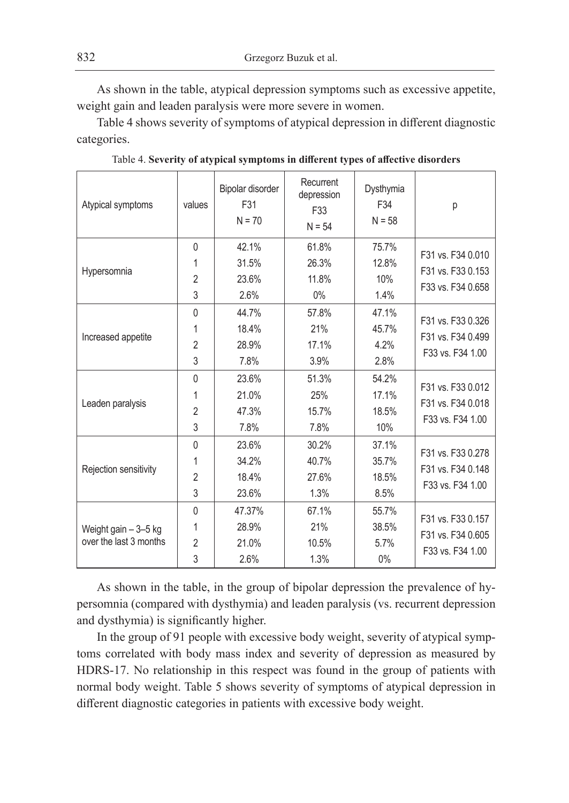As shown in the table, atypical depression symptoms such as excessive appetite, weight gain and leaden paralysis were more severe in women.

Table 4 shows severity of symptoms of atypical depression in different diagnostic categories.

| Atypical symptoms                               | values                                   | Bipolar disorder<br>F31<br>$N = 70$ | Recurrent<br>depression<br>F33<br>$N = 54$ | Dysthymia<br>F34<br>$N = 58$    | р                                                           |
|-------------------------------------------------|------------------------------------------|-------------------------------------|--------------------------------------------|---------------------------------|-------------------------------------------------------------|
| Hypersomnia                                     | $\mathbf{0}$<br>1<br>$\overline{2}$<br>3 | 42.1%<br>31.5%<br>23.6%<br>2.6%     | 61.8%<br>26.3%<br>11.8%<br>$0\%$           | 75.7%<br>12.8%<br>10%<br>1.4%   | F31 vs. F34 0.010<br>F31 vs. F33 0.153<br>F33 vs. F34 0.658 |
| Increased appetite                              | $\mathbf{0}$<br>1<br>$\overline{2}$<br>3 | 44.7%<br>18.4%<br>28.9%<br>7.8%     | 57.8%<br>21%<br>17.1%<br>3.9%              | 47.1%<br>45.7%<br>4.2%<br>2.8%  | F31 vs. F33 0.326<br>F31 vs. F34 0.499<br>F33 vs. F34 1.00  |
| Leaden paralysis                                | $\Omega$<br>1<br>$\overline{2}$<br>3     | 23.6%<br>21.0%<br>47.3%<br>7.8%     | 51.3%<br>25%<br>15.7%<br>7.8%              | 54.2%<br>17.1%<br>18.5%<br>10%  | F31 vs. F33 0.012<br>F31 vs. F34 0.018<br>F33 vs. F34 1.00  |
| Rejection sensitivity                           | $\Omega$<br>1<br>$\overline{2}$<br>3     | 23.6%<br>34.2%<br>18.4%<br>23.6%    | 30.2%<br>40.7%<br>27.6%<br>1.3%            | 37.1%<br>35.7%<br>18.5%<br>8.5% | F31 vs. F33 0.278<br>F31 vs. F34 0.148<br>F33 vs. F34 1.00  |
| Weight gain $-3-5$ kg<br>over the last 3 months | $\Omega$<br>1<br>$\overline{2}$<br>3     | 47.37%<br>28.9%<br>21.0%<br>2.6%    | 67.1%<br>21%<br>10.5%<br>1.3%              | 55.7%<br>38.5%<br>5.7%<br>$0\%$ | F31 vs. F33 0.157<br>F31 vs. F34 0.605<br>F33 vs. F34 1.00  |

Table 4. **Severity of atypical symptoms in different types of affective disorders**

As shown in the table, in the group of bipolar depression the prevalence of hypersomnia (compared with dysthymia) and leaden paralysis (vs. recurrent depression and dysthymia) is significantly higher.

In the group of 91 people with excessive body weight, severity of atypical symptoms correlated with body mass index and severity of depression as measured by HDRS-17. No relationship in this respect was found in the group of patients with normal body weight. Table 5 shows severity of symptoms of atypical depression in different diagnostic categories in patients with excessive body weight.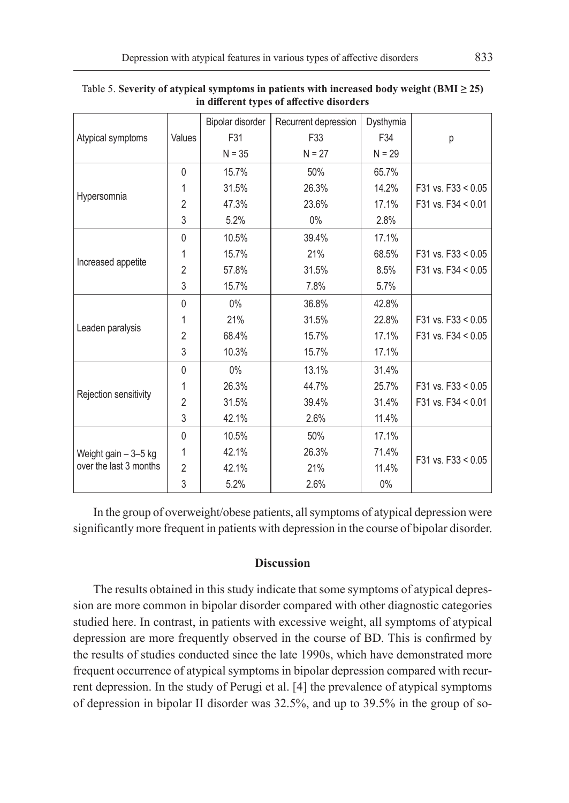|                                                |                | Bipolar disorder | Recurrent depression | Dysthymia |                      |
|------------------------------------------------|----------------|------------------|----------------------|-----------|----------------------|
| Atypical symptoms                              | Values         | F31              | F33                  | F34       | р                    |
|                                                |                | $N = 35$         | $N = 27$             | $N = 29$  |                      |
|                                                | $\Omega$       | 15.7%            | 50%                  | 65.7%     |                      |
|                                                | 1              | 31.5%            | 26.3%                | 14.2%     | F31 vs. $F33 < 0.05$ |
| Hypersomnia                                    | $\overline{2}$ | 47.3%            | 23.6%                | 17.1%     | F31 vs. F34 $< 0.01$ |
|                                                | 3              | 5.2%             | $0\%$                | 2.8%      |                      |
|                                                | $\mathbf{0}$   | 10.5%            | 39.4%                | 17.1%     |                      |
|                                                | 1              | 15.7%            | 21%                  | 68.5%     | F31 vs. $F33 < 0.05$ |
| Increased appetite                             | $\overline{2}$ | 57.8%            | 31.5%                | 8.5%      | F31 vs. F34 $< 0.05$ |
|                                                | 3              | 15.7%            | 7.8%                 | 5.7%      |                      |
|                                                | $\mathbf{0}$   | $0\%$            | 36.8%                | 42.8%     |                      |
|                                                | 1              | 21%              | 31.5%                | 22.8%     | F31 vs. $F33 < 0.05$ |
| Leaden paralysis                               | $\overline{2}$ | 68.4%            | 15.7%                | 17.1%     | F31 vs. F34 $< 0.05$ |
|                                                | 3              | 10.3%            | 15.7%                | 17.1%     |                      |
|                                                | $\mathbf{0}$   | $0\%$            | 13.1%                | 31.4%     |                      |
| Rejection sensitivity                          | 1              | 26.3%            | 44.7%                | 25.7%     | F31 vs. $F33 < 0.05$ |
|                                                | $\overline{2}$ | 31.5%            | 39.4%                | 31.4%     | F31 vs. $F34 < 0.01$ |
|                                                | 3              | 42.1%            | 2.6%                 | 11.4%     |                      |
| Weight gain - 3-5 kg<br>over the last 3 months | $\Omega$       | 10.5%            | 50%                  | 17.1%     |                      |
|                                                | 1              | 42.1%            | 26.3%                | 71.4%     | F31 vs. $F33 < 0.05$ |
|                                                | $\overline{2}$ | 42.1%            | 21%                  | 11.4%     |                      |
|                                                | 3              | 5.2%             | 2.6%                 | 0%        |                      |

Table 5. **Severity of atypical symptoms in patients with increased body weight (BMI ≥ 25) in different types of affective disorders**

In the group of overweight/obese patients, all symptoms of atypical depression were significantly more frequent in patients with depression in the course of bipolar disorder.

# **Discussion**

The results obtained in this study indicate that some symptoms of atypical depression are more common in bipolar disorder compared with other diagnostic categories studied here. In contrast, in patients with excessive weight, all symptoms of atypical depression are more frequently observed in the course of BD. This is confirmed by the results of studies conducted since the late 1990s, which have demonstrated more frequent occurrence of atypical symptoms in bipolar depression compared with recurrent depression. In the study of Perugi et al. [4] the prevalence of atypical symptoms of depression in bipolar II disorder was 32.5%, and up to 39.5% in the group of so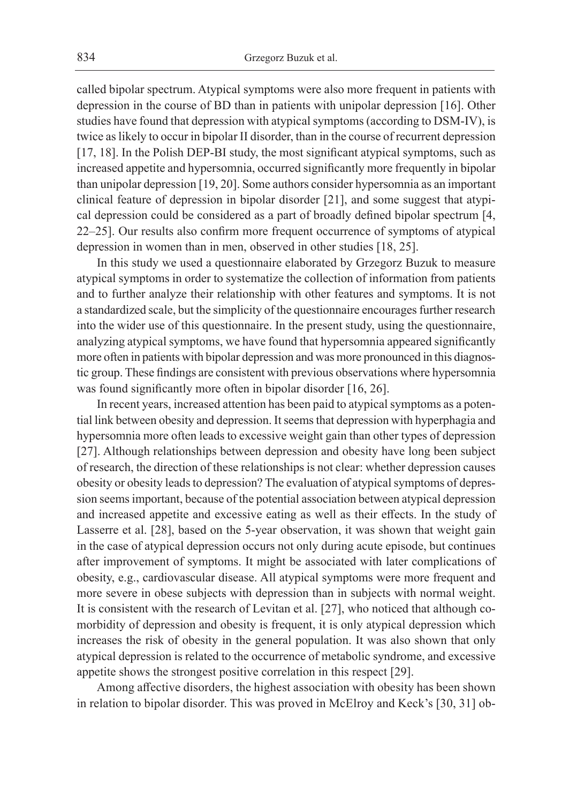called bipolar spectrum. Atypical symptoms were also more frequent in patients with depression in the course of BD than in patients with unipolar depression [16]. Other studies have found that depression with atypical symptoms (according to DSM-IV), is twice as likely to occur in bipolar II disorder, than in the course of recurrent depression [17, 18]. In the Polish DEP-BI study, the most significant atypical symptoms, such as increased appetite and hypersomnia, occurred significantly more frequently in bipolar than unipolar depression [19, 20]. Some authors consider hypersomnia as an important clinical feature of depression in bipolar disorder [21], and some suggest that atypical depression could be considered as a part of broadly defined bipolar spectrum [4, 22–25]. Our results also confirm more frequent occurrence of symptoms of atypical depression in women than in men, observed in other studies [18, 25].

In this study we used a questionnaire elaborated by Grzegorz Buzuk to measure atypical symptoms in order to systematize the collection of information from patients and to further analyze their relationship with other features and symptoms. It is not a standardized scale, but the simplicity of the questionnaire encourages further research into the wider use of this questionnaire. In the present study, using the questionnaire, analyzing atypical symptoms, we have found that hypersomnia appeared significantly more often in patients with bipolar depression and was more pronounced in this diagnostic group. These findings are consistent with previous observations where hypersomnia was found significantly more often in bipolar disorder [16, 26].

In recent years, increased attention has been paid to atypical symptoms as a potential link between obesity and depression. It seems that depression with hyperphagia and hypersomnia more often leads to excessive weight gain than other types of depression [27]. Although relationships between depression and obesity have long been subject of research, the direction of these relationships is not clear: whether depression causes obesity or obesity leads to depression? The evaluation of atypical symptoms of depression seems important, because of the potential association between atypical depression and increased appetite and excessive eating as well as their effects. In the study of Lasserre et al. [28], based on the 5-year observation, it was shown that weight gain in the case of atypical depression occurs not only during acute episode, but continues after improvement of symptoms. It might be associated with later complications of obesity, e.g., cardiovascular disease. All atypical symptoms were more frequent and more severe in obese subjects with depression than in subjects with normal weight. It is consistent with the research of Levitan et al. [27], who noticed that although comorbidity of depression and obesity is frequent, it is only atypical depression which increases the risk of obesity in the general population. It was also shown that only atypical depression is related to the occurrence of metabolic syndrome, and excessive appetite shows the strongest positive correlation in this respect [29].

Among affective disorders, the highest association with obesity has been shown in relation to bipolar disorder. This was proved in McElroy and Keck's [30, 31] ob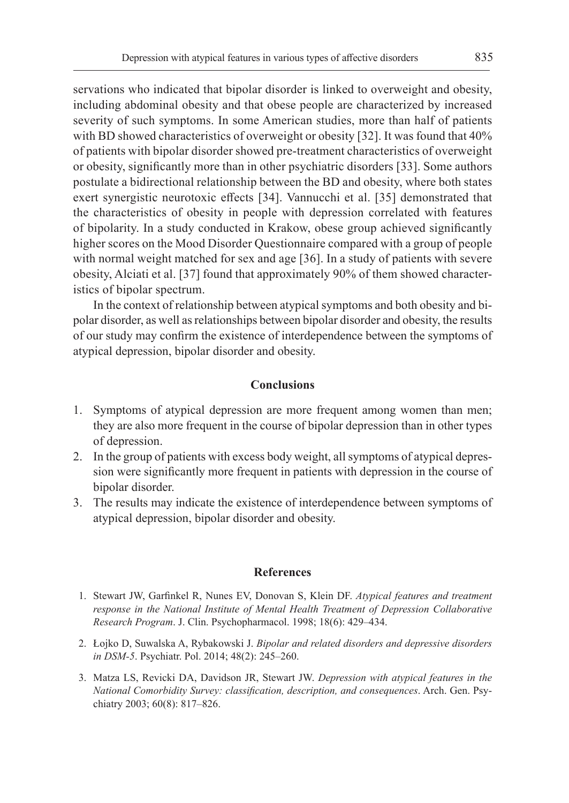servations who indicated that bipolar disorder is linked to overweight and obesity, including abdominal obesity and that obese people are characterized by increased severity of such symptoms. In some American studies, more than half of patients with BD showed characteristics of overweight or obesity [32]. It was found that 40% of patients with bipolar disorder showed pre-treatment characteristics of overweight or obesity, significantly more than in other psychiatric disorders [33]. Some authors postulate a bidirectional relationship between the BD and obesity, where both states exert synergistic neurotoxic effects [34]. Vannucchi et al. [35] demonstrated that the characteristics of obesity in people with depression correlated with features of bipolarity. In a study conducted in Krakow, obese group achieved significantly higher scores on the Mood Disorder Questionnaire compared with a group of people with normal weight matched for sex and age [36]. In a study of patients with severe obesity, Alciati et al. [37] found that approximately 90% of them showed characteristics of bipolar spectrum.

In the context of relationship between atypical symptoms and both obesity and bipolar disorder, as well as relationships between bipolar disorder and obesity, the results of our study may confirm the existence of interdependence between the symptoms of atypical depression, bipolar disorder and obesity.

### **Conclusions**

- 1. Symptoms of atypical depression are more frequent among women than men; they are also more frequent in the course of bipolar depression than in other types of depression.
- 2. In the group of patients with excess body weight, all symptoms of atypical depression were significantly more frequent in patients with depression in the course of bipolar disorder.
- 3. The results may indicate the existence of interdependence between symptoms of atypical depression, bipolar disorder and obesity.

#### **References**

- 1. Stewart JW, Garfinkel R, Nunes EV, Donovan S, Klein DF. *Atypical features and treatment response in the National Institute of Mental Health Treatment of Depression Collaborative Research Program*. J. Clin. Psychopharmacol. 1998; 18(6): 429–434.
- 2. Łojko D, Suwalska A, Rybakowski J. *Bipolar and related disorders and depressive disorders in DSM-5*. Psychiatr. Pol. 2014; 48(2): 245–260.
- 3. Matza LS, Revicki DA, Davidson JR, Stewart JW. *Depression with atypical features in the National Comorbidity Survey: classification, description, and consequences*. Arch. Gen. Psychiatry 2003; 60(8): 817–826.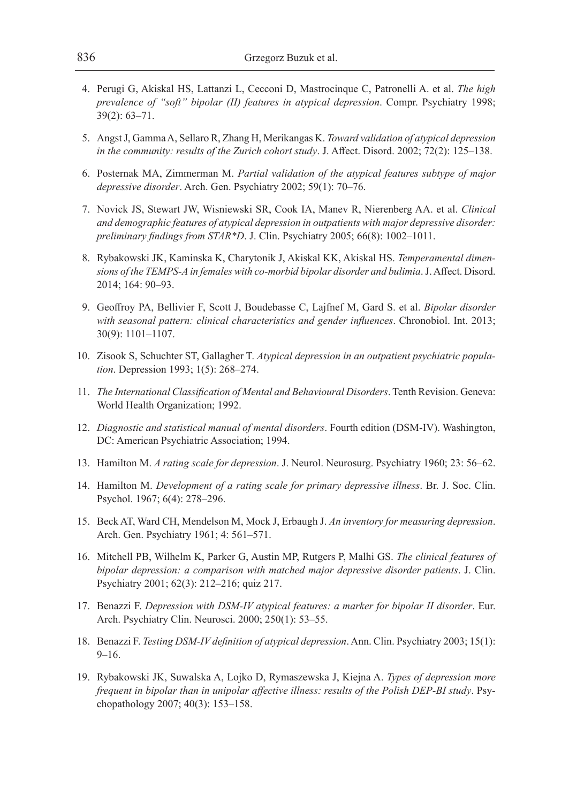- 4. Perugi G, Akiskal HS, Lattanzi L, Cecconi D, Mastrocinque C, Patronelli A. et al. *The high prevalence of "soft" bipolar (II) features in atypical depression*. Compr. Psychiatry 1998; 39(2): 63–71.
- 5. Angst J, Gamma A, Sellaro R, Zhang H, Merikangas K. *Toward validation of atypical depression in the community: results of the Zurich cohort study*. J. Affect. Disord. 2002; 72(2): 125–138.
- 6. Posternak MA, Zimmerman M. *Partial validation of the atypical features subtype of major depressive disorder*. Arch. Gen. Psychiatry 2002; 59(1): 70–76.
- 7. Novick JS, Stewart JW, Wisniewski SR, Cook IA, Manev R, Nierenberg AA. et al. *Clinical and demographic features of atypical depression in outpatients with major depressive disorder: preliminary findings from STAR\*D*. J. Clin. Psychiatry 2005; 66(8): 1002–1011.
- 8. Rybakowski JK, Kaminska K, Charytonik J, Akiskal KK, Akiskal HS. *Temperamental dimensions of the TEMPS-A in females with co-morbid bipolar disorder and bulimia*. J. Affect. Disord. 2014; 164: 90–93.
- 9. Geoffroy PA, Bellivier F, Scott J, Boudebasse C, Lajfnef M, Gard S. et al. *Bipolar disorder with seasonal pattern: clinical characteristics and gender influences*. Chronobiol. Int. 2013; 30(9): 1101–1107.
- 10. Zisook S, Schuchter ST, Gallagher T. *Atypical depression in an outpatient psychiatric population*. Depression 1993; 1(5): 268–274.
- 11. *The International Classification of Mental and Behavioural Disorders*. Tenth Revision. Geneva: World Health Organization; 1992.
- 12. *Diagnostic and statistical manual of mental disorders*. Fourth edition (DSM-IV). Washington, DC: American Psychiatric Association; 1994.
- 13. Hamilton M. *A rating scale for depression*. J. Neurol. Neurosurg. Psychiatry 1960; 23: 56–62.
- 14. Hamilton M. *Development of a rating scale for primary depressive illness*. Br. J. Soc. Clin. Psychol. 1967; 6(4): 278–296.
- 15. Beck AT, Ward CH, Mendelson M, Mock J, Erbaugh J. *An inventory for measuring depression*. Arch. Gen. Psychiatry 1961; 4: 561–571.
- 16. Mitchell PB, Wilhelm K, Parker G, Austin MP, Rutgers P, Malhi GS. *The clinical features of bipolar depression: a comparison with matched major depressive disorder patients*. J. Clin. Psychiatry 2001; 62(3): 212–216; quiz 217.
- 17. Benazzi F. *Depression with DSM-IV atypical features: a marker for bipolar II disorder*. Eur. Arch. Psychiatry Clin. Neurosci. 2000; 250(1): 53–55.
- 18. Benazzi F. *Testing DSM-IV definition of atypical depression*. Ann. Clin. Psychiatry 2003; 15(1): 9–16.
- 19. Rybakowski JK, Suwalska A, Lojko D, Rymaszewska J, Kiejna A. *Types of depression more frequent in bipolar than in unipolar affective illness: results of the Polish DEP-BI study*. Psychopathology 2007; 40(3): 153–158.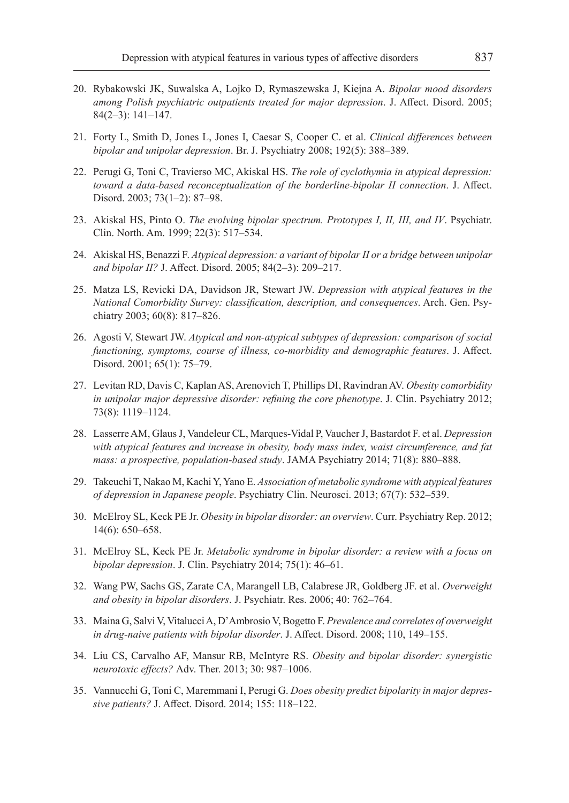- 20. Rybakowski JK, Suwalska A, Lojko D, Rymaszewska J, Kiejna A. *Bipolar mood disorders among Polish psychiatric outpatients treated for major depression*. J. Affect. Disord. 2005; 84(2–3): 141–147.
- 21. Forty L, Smith D, Jones L, Jones I, Caesar S, Cooper C. et al. *Clinical differences between bipolar and unipolar depression*. Br. J. Psychiatry 2008; 192(5): 388–389.
- 22. Perugi G, Toni C, Travierso MC, Akiskal HS. *The role of cyclothymia in atypical depression: toward a data-based reconceptualization of the borderline-bipolar II connection*. J. Affect. Disord. 2003; 73(1–2): 87–98.
- 23. Akiskal HS, Pinto O. *The evolving bipolar spectrum. Prototypes I, II, III, and IV*. Psychiatr. Clin. North. Am. 1999; 22(3): 517–534.
- 24. Akiskal HS, Benazzi F. *Atypical depression: a variant of bipolar II or a bridge between unipolar and bipolar II?* J. Affect. Disord. 2005; 84(2–3): 209–217.
- 25. Matza LS, Revicki DA, Davidson JR, Stewart JW. *Depression with atypical features in the National Comorbidity Survey: classification, description, and consequences*. Arch. Gen. Psychiatry 2003; 60(8): 817–826.
- 26. Agosti V, Stewart JW. *Atypical and non-atypical subtypes of depression: comparison of social functioning, symptoms, course of illness, co-morbidity and demographic features*. J. Affect. Disord. 2001; 65(1): 75–79.
- 27. Levitan RD, Davis C, Kaplan AS, Arenovich T, Phillips DI, Ravindran AV. *Obesity comorbidity in unipolar major depressive disorder: refining the core phenotype*. J. Clin. Psychiatry 2012; 73(8): 1119–1124.
- 28. Lasserre AM, Glaus J, Vandeleur CL, Marques-Vidal P, Vaucher J, Bastardot F. et al. *Depression with atypical features and increase in obesity, body mass index, waist circumference, and fat mass: a prospective, population-based study*. JAMA Psychiatry 2014; 71(8): 880–888.
- 29. Takeuchi T, Nakao M, Kachi Y, Yano E. *Association of metabolic syndrome with atypical features of depression in Japanese people*. Psychiatry Clin. Neurosci. 2013; 67(7): 532–539.
- 30. McElroy SL, Keck PE Jr. *Obesity in bipolar disorder: an overview*. Curr. Psychiatry Rep. 2012; 14(6): 650–658.
- 31. McElroy SL, Keck PE Jr. *Metabolic syndrome in bipolar disorder: a review with a focus on bipolar depression*. J. Clin. Psychiatry 2014; 75(1): 46–61.
- 32. Wang PW, Sachs GS, Zarate CA, Marangell LB, Calabrese JR, Goldberg JF. et al. *Overweight and obesity in bipolar disorders*. J. Psychiatr. Res. 2006; 40: 762–764.
- 33. Maina G, Salvi V, Vitalucci A, D'Ambrosio V, Bogetto F. *Prevalence and correlates of overweight in drug-naive patients with bipolar disorder*. J. Affect. Disord. 2008; 110, 149–155.
- 34. Liu CS, Carvalho AF, Mansur RB, McIntyre RS. *Obesity and bipolar disorder: synergistic neurotoxic effects?* Adv. Ther. 2013; 30: 987–1006.
- 35. Vannucchi G, Toni C, Maremmani I, Perugi G. *Does obesity predict bipolarity in major depressive patients?* J. Affect. Disord. 2014; 155: 118–122.